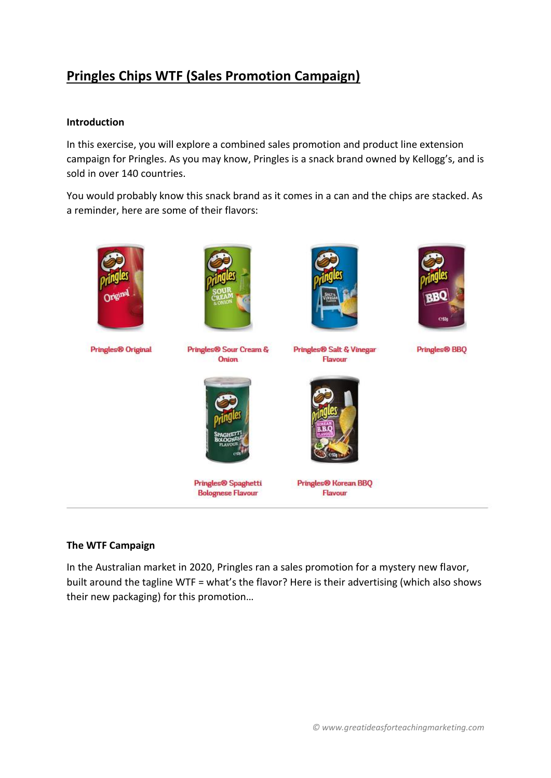## **Pringles Chips WTF (Sales Promotion Campaign)**

## **Introduction**

In this exercise, you will explore a combined sales promotion and product line extension campaign for Pringles. As you may know, Pringles is a snack brand owned by Kellogg's, and is sold in over 140 countries.

You would probably know this snack brand as it comes in a can and the chips are stacked. As a reminder, here are some of their flavors:



## **The WTF Campaign**

In the Australian market in 2020, Pringles ran a sales promotion for a mystery new flavor, built around the tagline WTF = what's the flavor? Here is their advertising (which also shows their new packaging) for this promotion…